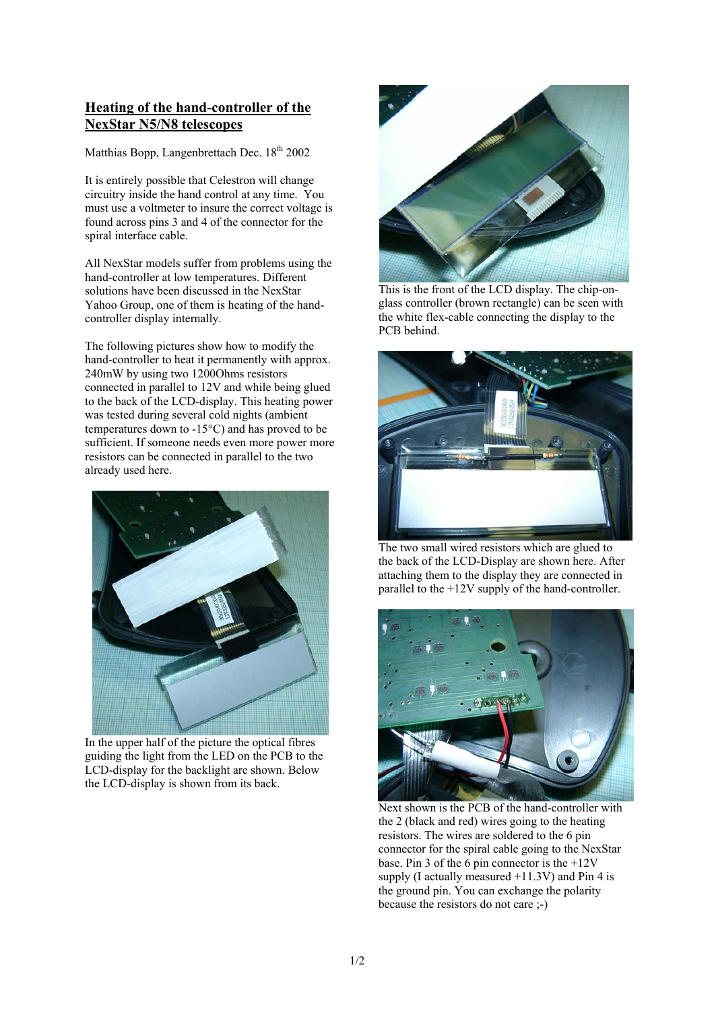## **Heating of the hand-controller of the NexStar N5/N8 telescopes**

Matthias Bopp, Langenbrettach Dec. 18<sup>th</sup> 2002

It is entirely possible that Celestron will change circuitry inside the hand control at any time. You must use a voltmeter to insure the correct voltage is found across pins 3 and 4 of the connector for the spiral interface cable.

All NexStar models suffer from problems using the hand-controller at low temperatures. Different solutions have been discussed in the NexStar Yahoo Group, one of them is heating of the handcontroller display internally.

The following pictures show how to modify the hand-controller to heat it permanently with approx. 240mW by using two 1200Ohms resistors connected in parallel to 12V and while being glued to the back of the LCD-display. This heating power was tested during several cold nights (ambient temperatures down to -15°C) and has proved to be sufficient. If someone needs even more power more resistors can be connected in parallel to the two already used here.



In the upper half of the picture the optical fibres guiding the light from the LED on the PCB to the LCD-display for the backlight are shown. Below the LCD-display is shown from its back.



This is the front of the LCD display. The chip-onglass controller (brown rectangle) can be seen with the white flex-cable connecting the display to the PCB behind.



The two small wired resistors which are glued to the back of the LCD-Display are shown here. After attaching them to the display they are connected in parallel to the +12V supply of the hand-controller.



Next shown is the PCB of the hand-controller with the 2 (black and red) wires going to the heating resistors. The wires are soldered to the 6 pin connector for the spiral cable going to the NexStar base. Pin 3 of the 6 pin connector is the  $+12V$ supply (I actually measured  $+11.3V$ ) and Pin 4 is the ground pin. You can exchange the polarity because the resistors do not care ;-)